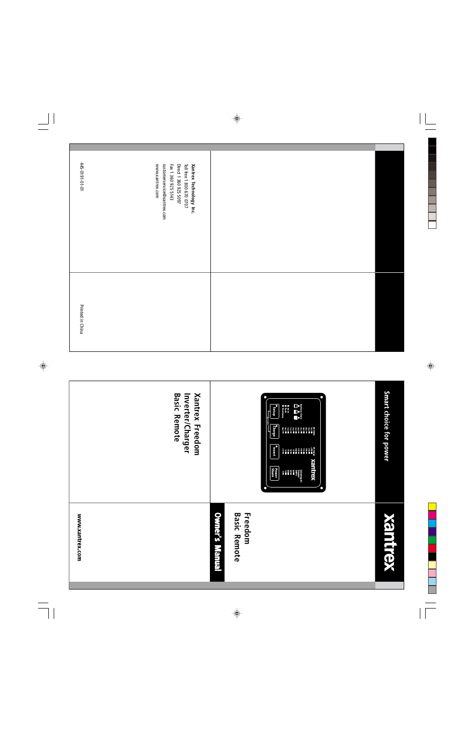| $10 - 10 - 1610 - 517$ | www.xantrex.com<br>customerservice@xantrex.com<br>Fax 1 360 925 5143<br>Direct 1 360 925 5097<br>Toll free 1 800 670 0707<br>Xantrex Technology Inc. |  |
|------------------------|------------------------------------------------------------------------------------------------------------------------------------------------------|--|
| Printed in China       |                                                                                                                                                      |  |

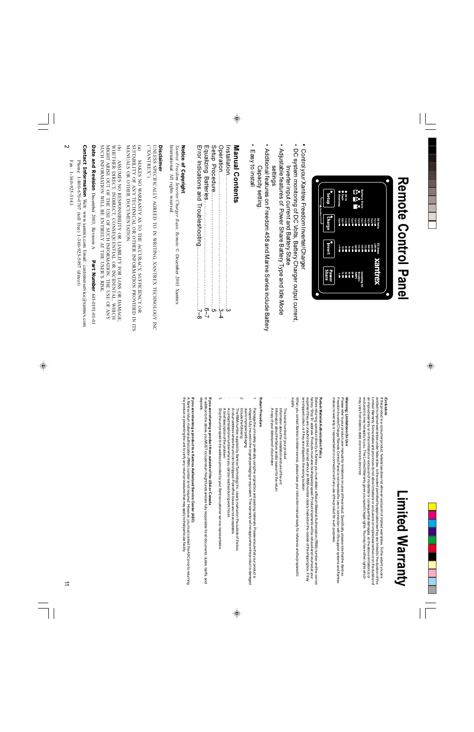# **Remote Control Panel**

| Setup                        | <b>Battery State</b><br>ŀ<br><b>Fault</b><br><b>ACID</b><br>Overtemp<br>¢<br>ì                                      |
|------------------------------|---------------------------------------------------------------------------------------------------------------------|
| A Equalize<br><b>Charge</b>  | DC Volts<br>$-0.01$<br>$-0.11$<br>8 12 12<br>11 12 11<br>13.5<br>0°PL<br>14.5<br>0°51<br>10.5<br>15.5               |
| nvert                        | $-300$<br>DC Amps<br>250<br>$\frac{1}{2}$<br>200<br>GS1<br>$\overline{175}$<br>125<br>ğ<br>50<br>Ğ.<br>25<br>$-101$ |
| <b>Share</b><br><b>Power</b> | Xeluite)<br>105<br>$\frac{30}{20}$<br>Ë<br>Breaker<br>AMPS<br>ncoming AC<br>÷.                                      |
|                              |                                                                                                                     |

- Control your Xantrex Freedom Inverter/Charge
- DC system monitoring of DC Volts, Battery Charger output current, Inverter input current and Battery State
- Adjustable features of Power Share Battery Type and Idle Mode
- Additional features on Freedom 458 and Marine Series include Battery settings
- Capacity setting
- Easy to install

## **Manual Contents**

|  | Оверація (1975) — 1974 — 1985 — 1986 — 1987 — 1988 — 1988 — 1988 — 1988 — 1988 — 1988 — 1988 — 1988 |  |
|--|-----------------------------------------------------------------------------------------------------|--|
|  |                                                                                                     |  |

### Notice of Copyright

International. All rights reserved.  $X$ antrex Freedom Inverter/Charger Basic Remote © December 2003 Xantrex

#### **Disclaimer**

UNLESS SPECIFICALLY AGREED TO IN WRITING, XANTREX TECHNOLOGY INC ("XANTREX"

SUITABILITY OF ANY TECHNICAL OR OTHER INFORMATION PROVIDED IN ITS  $\mathbf{e}$ MANUALS OR OTHER DOCUMENTATION MAKES NO WARRANTY AS TO THE ACCURACY, SUFFICIENCY OR

SUCH INFORMATION WILL BE ENTIRELY AT THE USER'S RISK MIGHT ARISE OUT OF THE USE OF SUCH INFORMATION. THE USE OF ANY WHETHER DIRECT, INDIRECT, CONSEQUENTIAL OR INCIDENTAL, WHICH ASSUMES NO RESPONSIBILITY OR LIABILITY FOR LOSS OR DAMAGE

Date and Revision December 2003, Revision A Part Number 445-0191-01

Contact Information Web: www.xantrex.com Email: customerservice@xantrex.com Phone: 1-800-670-0707 (toll free) 1-360-925-5097 (direct)

 $Fax: 1-360-925-5143$ 

## Limited Warranty

#### Exclusions

Limited Warranty. Some states and provinces do not allow limitations or exclusions on implied warranties or on the duration of<br>an implied warranty or on the limitation or exclusion of incidental or consequential damages, s may vary from state to state or province to province. exclusion(s) may not apply to you. This Limited Warranty gives you specific legal rights. You may have other rights which lf this product is a consumer product, federal law does not allow an exclusion of implied warranties. To the extent you are<br>entitled to implied warranties under federal law, to the extent permitted by applicable law they a

### Warning: Limitations On Use

makes no warranty or representation in connection with any use of the product for such purposes Please refer to your product user manual for limitations on uses of the product. Specifically, please note that the Xantrex<br>Freedom Inverter/Charger Remote Control Panel is not intended for use in connection with iffe supp

### Return Material Authorization Policy

are shipped collect, or if they are shipped to the wrong location. factory "Ship To" address. Products must also be shipped prepaid. Product shipments will be refused and returned at your<br>expense if they are unauthorized, returned without an RMA number clearly marked on the outside of the Before returning a product directly to Xantrex you must obtain a Return Material Authorization (RMA) number and the correct

Aiddns When you contact Xantrex to obtain service, please have your instruction manual ready for reference and be prepared to

- The serial number of your product
- Information about the installation and use of the unit
- Information about the failure and/or reason for the return
- A copy of your dated proof of purchase

#### Return Procedure

- due to improper packaging.<br>Include the following: Package the unit safely, preferably using the original box and packing materials. Please ensure that your product is<br>shipped fully insured in the original packaging or equivalent. This warranty will not apply where the pro
- $\overline{v}$
- The RMA number supplied by Xantrex Technology Inc. clearly marked on the outside of the box<br>A return address where the unit can be shipped. Post office boxes are not acceptable.
- A contact telephone number where you can be reached during work hours
- A brief description of the problem
- Ship the unit prepaid to the address provided by your Xantrex customer service representative

## If you are returning a product from outside of the USA or Canada

In addition to the above, you MUST include return freight funds and are fully responsible for all documents, duties, tariffs, and alsodar

the product or presenting the unit to verify any return procedures that may apply to that particular facility If you are returning a product to a Xantrex Authorized Service Center (ASC)<br>A Xantrexreturn material authorization (RMA) number is not required. However, you must contact the ASC prior to returning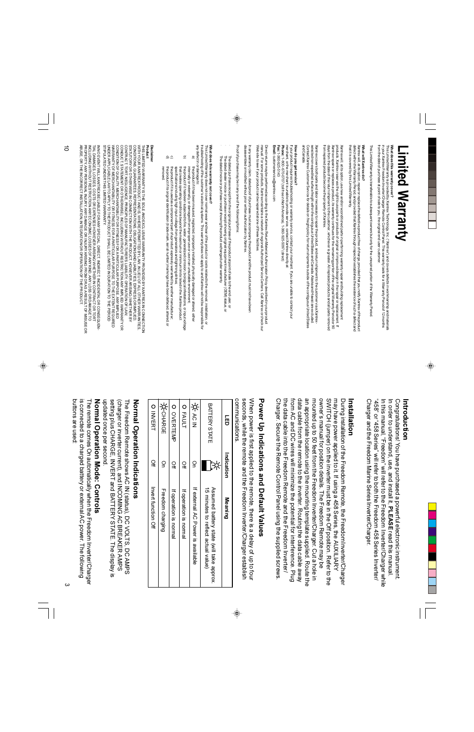## imited Warranty.

## What does this warranty cover?

This Limied Warranty is provided by Xantrex Technology, Inc. ("Xantrex") and covers defects in workmanship and materials<br>in your Xantrex Freedom Inverter/Charger Remote Control Panel. This warranty lasts for a Warranty Per from the date of purchase at point of sale to you, the original end user customer.

This Limited Warranty is transferable to subsequent owners but only for the unexpired portion of the Warranty Period

#### What will Xantrex do?

that it is covered by this Limited Warranty. defect within the Warranty Period, and provided that Xantrex through inspection establishes the existence of such a defect and Xantrex will, at its option, repair or replace the defective product free of charge, provided that you notify Xantrex of the product

from repaired products become the property of Xantrex. days from the date of the return shipment to the customer, whichever is greater. All replaced products and all parts removed products. Xantrex reserves the right to use parts or products of original or improved design in the repair or replacement. If Xantrex repairs or replaces a product, its warranty continues for the remaining portion of the original Warranty Period or 90 Xantrex will, at its option, use new and/or reconditioned parts in performing warranty repair and building replacement

and Canada Contact Xantrex Customer Service for details on freight policy for return shipments outside of the contiguous United States selected non-expedited surface freight within the contiguous United States and Canada. Alaska and Hawaii are excluded Xantrex covers both parts and labor necessary to repair the product, and return shipment to the customer via a Xantrex-

#### How do you get service?

merchant, or the merchant is unable to provide service, contact Xantrex directly at:<br>Phone: 1-800\_670-0707 (toll free in North America), 1-360-925-5097 (direct)<br>Phone: 1-800\_670-0707 (toll free in North America), 1-360-925 If your product requires troubleshooting or warranty service, contact your merchant. If you are unable to contact your **Fax: 1-360-925-5143** 

Email: customerservice@xantrex.com

Web site to see if your product can be repaired at one of these facilities manual. For some products, Xantrex maintains a network of regional Authorized Service Centers. Call Xantrex or check our Direct returns may be performed according to the Xantrex Return Material Authorization Policy described in your product

disassembled or modified without prior written authorization by Xantrex. In ary warranty claim, dated proof of purchase must accompany the product and the product must not have been

Proof of purchase may be in any one of the following forms:

- The dated purchase receipt from the original purchase of the product at point of sale to the end user, or
- The dated dealer invoice or purchase receipt showing original equipment manufacturer (OEM) status, or
- The dated invoice or purchase receipt showing the product exchanged under warranty

### What does this warranty not cover?

any defect in or damage to: troubleshooting of the customer's electrical systems. This warranty does not apply to and Xantrex will not be responsible for This Limited Warranty does not cover normal wear and tear of the product or costs related to the removal, installation, or

- உ the product if it has been misused, neglected, improperly installed, physically damaged or altered, either internally or externally, or damaged from improper use or use in an unsuitable environment;
- ੁ that creates operating conditions beyond the maximum or minimum limits listed in the Xantrex product the product if it has been subjected to fire, water, generalized corrosion, biological infestations, or input voltage
- ತ್ತ ರ the product if it is used as a component part of a product expressly warranted by another manufacturer; specifications including high input voltage from generators and lightning strikes.
- the product if its original identification (trade-mark, serial number) markings have been defaced, altered, or

#### Disclaimer

Product

THIS LIMITED WARRANTY IS THE SOLE AND EXCLUSIVE WARRANTY PROVIDED BY XANTFIEX IN CONNECTION<br>CONDITIONS GUARANTEES, REPRESENTATIONS OBLIGATIONS AND LIABILITIES, EXPRESSIOR MALIED,<br>STATUTORY OR OTHERWISE IN CONNECTION WITH T STIPULATED UNDER THIS LIMITED WARRANTY UNDER APPLICABLE LAVY TO APPLY TO THE PRODUCT SHALL BE LIMITED IN DURATION TO THE PERIOD

PROPERTY, AY FREX ON THE CHING TO ANY ANDERED CONSERING THO AND ANY LOGS OR DAMAGE TO THING TO A PROPERTY, ANY THAT THIS LINE OF THING ANY ARGED TO THING THAT THE THING A PARA ARGED TO THING THAT THE THING A PARA ARGED TO IN NO ENTIMATE SANTER BELIABLE FOR ANY SPECIAL, DIRECT, INDIRECT, INCIDENTAL OR CONSEQUENT ABUSE, OR THE INCORRECT INSTALLATION, INTEGRATION OR OPERATION OF THE PRODUCT TIAL DAMAGES, LOSSES, COSTS OR EXPENSES HOWEVER ARISING WHETHER IN CONTRACT OR TORT

#### Introduction

"458" or "458 Series" will refer to both the Freedom 458 Series Inverter Charger and the Freedom Marine Series Inverter/Charger In this manual, "Freedom" will refer to the Freedom Inverter/Charger while Congratulations! You have purchased a powerful electronic instrument In order to understand, use, and install it, PLEASE read this manual.

#### nstallation

owner's manual for position details. The Freedom Remote may be SONITCH (jumper) on the inverter must be in the Off position. Refer to the Charger. Secure the Remote Control Panel using the supplied screws the data cable into the Freedom Remote and the Freedom Inverter/ from AC and DC wires will mininize the potential for interference. Plug data cable from the remote to the inverter. Routing the data cable away an appropriate location using the mounting template supplied. Route the mounted up to 50 feet from the Freedom Inverter/Charger. Cut a hole in may have power applied to it. If using a 458 Series, the AUXILIARY During installation of the Freedom Remote, the Freedom Inverter/Charger

# **Power Up Indications and Default Values**

communications seconds, while the remote and the Freedom Inverter/Charger establish When power is first applied to the remote, there is a delay of up to four

| 5                    | Indication    | <b>Meaning</b>                                                                  |
|----------------------|---------------|---------------------------------------------------------------------------------|
| <b>BATTERY STATE</b> |               | Assumed battery state (will take approx.<br>10 Hindres to reflect actual value) |
| 상송                   | S             | If external AC Power is available                                               |
| O FAULT              | $\Omega$      | If operation is normal                                                          |
| O OVERTEMP           | $\frac{1}{2}$ | If operation is normal                                                          |
| ≯сндве               | S             | Freedom charging                                                                |
| O INVERT             | σĦ            | Invert function Off                                                             |

## Normal Operation Indications

The Freedom Remote shows AC IN (status), DC VOLTS, DC AMPS

setting plus CHARGE, INVERT and BATTERY STATE. The display is (charger or inverter current), and INCOMING AC BREAKER AMPS

updated once per second.

## Normal Operation Mode: Controls

buttons are used is connected to a charged battery or external AC power. The following The remote comes On automatically when the Freedom Inverter/Charger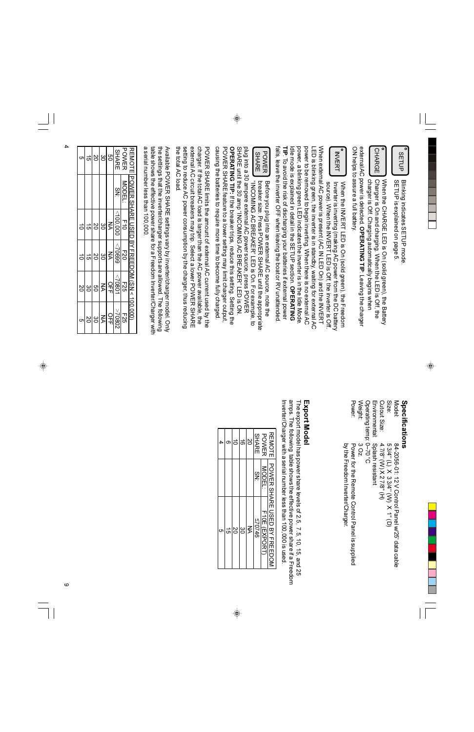| TIP: To avoid the risk of discharging your batteries if external power<br>Idle mode is explained in the SETUP section. OPERATING<br>power to be removed to begin inverting. When there is no external AC<br>VNPu external AC power is present (AC IN LED On) and the INVERT<br>power, a blinking green LED indicates the inverter is in the Idle Mode<br>LED is blinking green, the inverter is in standby, waiting for external AC<br>external AC power is detected. OPERATING TIP: Leaving the charger<br>ON helps to assure a full battery.<br>۰<br><b>CHARGE</b><br>INVERT | charger is Off. Charging automatically begins when<br>When the CHARGE LED is On (solid green), the Battery<br>Charger is On and charging. When the LED is Off, the<br>Inverter is inverting (making AC power from the DC battery<br>source). Nhen the INVERT LED is Off, the inverter is Off<br>When the INVERT LED is On (solid green), the Freedom |                 |                 |                    |
|--------------------------------------------------------------------------------------------------------------------------------------------------------------------------------------------------------------------------------------------------------------------------------------------------------------------------------------------------------------------------------------------------------------------------------------------------------------------------------------------------------------------------------------------------------------------------------|------------------------------------------------------------------------------------------------------------------------------------------------------------------------------------------------------------------------------------------------------------------------------------------------------------------------------------------------------|-----------------|-----------------|--------------------|
| fails, leave the inverter OFF when leaving the boat or RV unattended                                                                                                                                                                                                                                                                                                                                                                                                                                                                                                           |                                                                                                                                                                                                                                                                                                                                                      |                 |                 |                    |
| <b>POWER</b>                                                                                                                                                                                                                                                                                                                                                                                                                                                                                                                                                                   | Before you plug into an external AC source, note the                                                                                                                                                                                                                                                                                                 |                 |                 |                    |
| <b>SHARE</b>                                                                                                                                                                                                                                                                                                                                                                                                                                                                                                                                                                   | preaker size: Press POWER SHARE intil the appropriate                                                                                                                                                                                                                                                                                                |                 |                 |                    |
|                                                                                                                                                                                                                                                                                                                                                                                                                                                                                                                                                                                |                                                                                                                                                                                                                                                                                                                                                      |                 |                 |                    |
| SHARE until the 30 and "INCOMING AC BREAKER" LED is OX                                                                                                                                                                                                                                                                                                                                                                                                                                                                                                                         | "INCOMING AC BREAKER" LED is On. For example, to                                                                                                                                                                                                                                                                                                     |                 |                 |                    |
| causing the batteries to require more time to become fully charged.<br>PONCER SHARE feature to a lower setting may limit charger output,                                                                                                                                                                                                                                                                                                                                                                                                                                       | plug into a 30 ampere external AC power source, press POWER                                                                                                                                                                                                                                                                                          |                 |                 |                    |
| charger. If the total AC load is larger than the AC power available, the<br>PONNER SHARE limits the amount of external AC current used by the                                                                                                                                                                                                                                                                                                                                                                                                                                  | <b>OPERATING TIP: If the breaker trips, reduce this setting.</b> Setting the                                                                                                                                                                                                                                                                         |                 |                 |                    |
| the total AC load<br>setting to reduce AC power consumption by the charger, thus reducing                                                                                                                                                                                                                                                                                                                                                                                                                                                                                      | external AC circuit breakers may trip. Select a lower POWER SHARE                                                                                                                                                                                                                                                                                    |                 |                 |                    |
| table shows the effective power share for a Freedom Inverter/Charger with<br>the settings that the inverter/charger supports are allowed. The following<br>a serial number less than 100,000.<br>Available POWER SHARE settings vary by inverter/charger model. Only                                                                                                                                                                                                                                                                                                           |                                                                                                                                                                                                                                                                                                                                                      |                 |                 |                    |
| REMOTE POWER SHARE USED BY FREEDOM (SN < 100,000)                                                                                                                                                                                                                                                                                                                                                                                                                                                                                                                              |                                                                                                                                                                                                                                                                                                                                                      |                 |                 |                    |
| <b>POWER</b><br>MODEL:                                                                                                                                                                                                                                                                                                                                                                                                                                                                                                                                                         | 그                                                                                                                                                                                                                                                                                                                                                    | E20             | <b>F25</b>      | 525                |
| <b>SHARE</b><br>g<br>Šk                                                                                                                                                                                                                                                                                                                                                                                                                                                                                                                                                        | 000'001<br>⋚                                                                                                                                                                                                                                                                                                                                         | 66902<br>KA     | 10802<br>오<br>귀 | $\ge$ 70807<br>ロカロ |
| δg                                                                                                                                                                                                                                                                                                                                                                                                                                                                                                                                                                             | ဗိ                                                                                                                                                                                                                                                                                                                                                   | ဗ္ဓ             | KA              | $\leq$             |
| 2O<br>ς,                                                                                                                                                                                                                                                                                                                                                                                                                                                                                                                                                                       | SO<br>$\vec{5}$                                                                                                                                                                                                                                                                                                                                      | 2O<br>$\vec{5}$ | g<br>ပ္ပ        | ဗိ<br>δ            |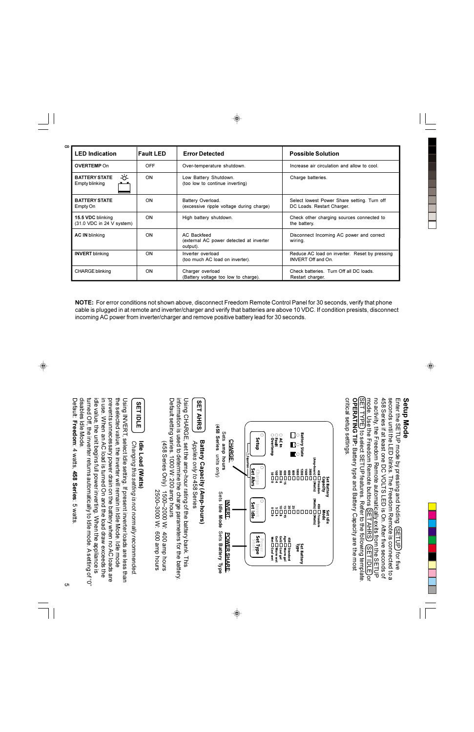| <b>LED Indication</b>                                      | lFault LED | <b>Error Detected</b>                                              | <b>Possible Solution</b>                                                  |
|------------------------------------------------------------|------------|--------------------------------------------------------------------|---------------------------------------------------------------------------|
| <b>OVERTEMP On</b>                                         | <b>OFF</b> | Over-temperature shutdown.                                         | Increase air circulation and allow to cool.                               |
| -ඊ-<br><b>BATTERY STATE</b><br>Empty blinking              | <b>ON</b>  | Low Battery Shutdown.<br>(too low to continue inverting)           | Charge batteries.                                                         |
| <b>BATTERY STATE</b><br>Empty On                           | ON         | Battery Overload.<br>(excessive ripple voltage during charge)      | Select lowest Power Share setting. Turn off<br>DC Loads. Restart Charger. |
| 15.5 VDC blinking<br>$(31.0 \, \text{VDC}$ in 24 V system) | <b>ON</b>  | High battery shutdown.                                             | Check other charging sources connected to<br>the battery.                 |
| <b>AC IN blinking</b>                                      | <b>ON</b>  | AC Backfeed<br>(external AC power detected at inverter<br>output). | Disconnect Incoming AC power and correct<br>wiring.                       |
| <b>INVERT</b> blinking                                     | <b>ON</b>  | Inverter overload<br>(too much AC load on inverter).               | Reduce AC load on inverter. Reset by pressing<br>INVERT Off and On.       |
| <b>CHARGE blinking</b>                                     | <b>ON</b>  | Charger overload<br>(Battery voltage too low to charge).           | Check batteries. Turn Off all DC loads.<br>Restart charger.               |

NOTE: For error conditions not shown above, disconnect Freedom Remote Control Panel for 30 seconds, verify that phone cable is plugged in at remote and inverter/charger and verify that batteries are above 10 VDC. If condition presists, disconnect incoming AC power from inverter/charger and remove positive battery lead for 30 seconds.



#### Setup Mode

SET TYPE) to select SETUP features. Refer to the following template seconds until the LED blinks. The Freedom Remote is connected to a Enter the SETUP mode by pressing and holding (SETUP) for five critical setup settings. **OPERATING TIP:** Battery type and Battery Capacity are the most 458 Series if at least one DC VOLTS LED is On. After five seconds of mode. Use the Freedom Remote buttons (SET AHRS) (SET IDLE) or no activity, the Freedom Remote automatically exits from the SETUP

Default: Freedom: 4 watts, 458 Series: 5 watts

 $\infty$